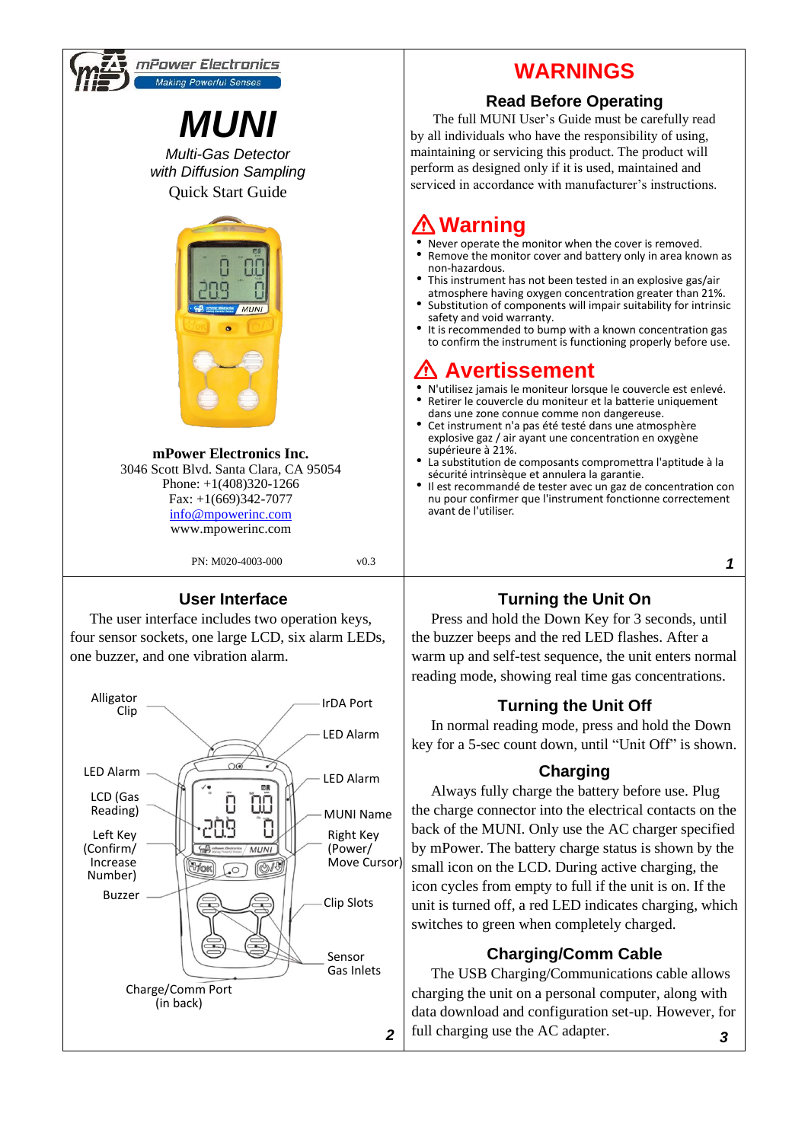

*2*

Sensor Gas Inlets

Charge/Comm Port (in back)

### **Charging/Comm Cable**

The USB Charging/Communications cable allows charging the unit on a personal computer, along with data download and configuration set-up. However, for full charging use the AC adapter. *3*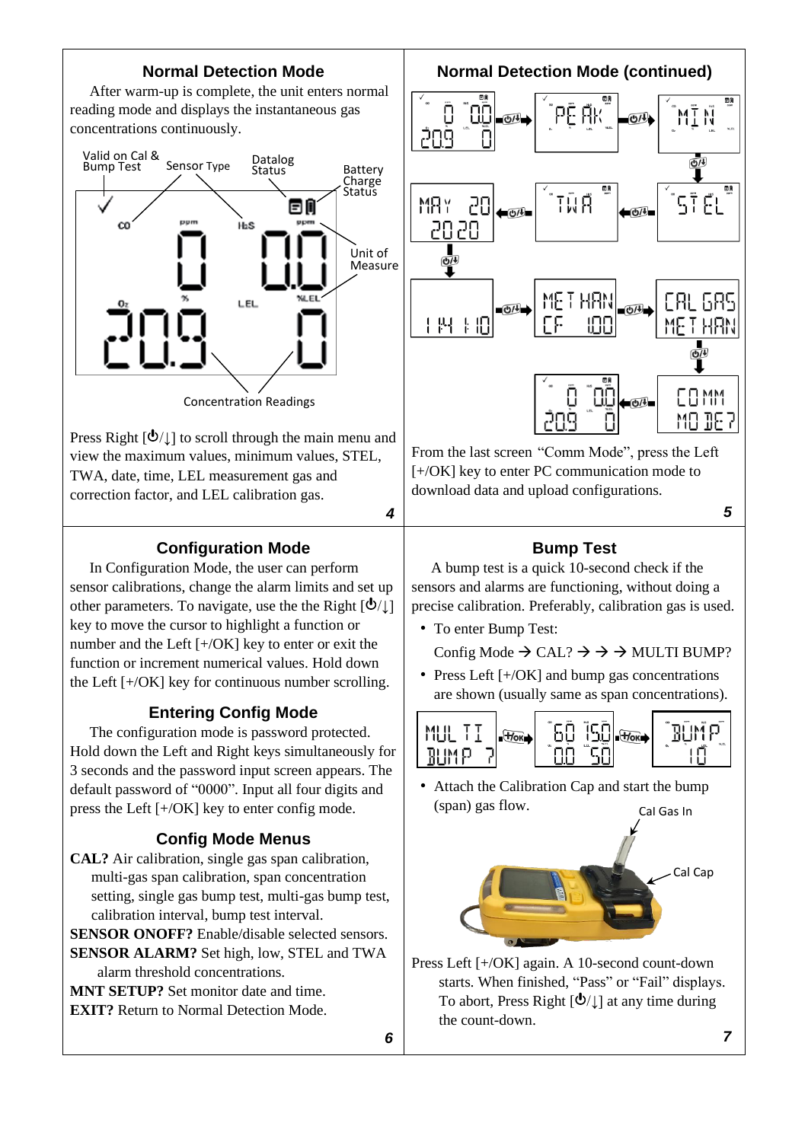### **Normal Detection Mode**

After warm-up is complete, the unit enters normal reading mode and displays the instantaneous gas concentrations continuously.



Press Right  $[\mathbf{\hat{O}}/\mathbf{\hat{I}}]$  to scroll through the main menu and view the maximum values, minimum values, STEL, TWA, date, time, LEL measurement gas and correction factor, and LEL calibration gas.

#### *4*

### **Configuration Mode**

In Configuration Mode, the user can perform sensor calibrations, change the alarm limits and set up other parameters. To navigate, use the the Right  $[\mathbf{\Phi}/\mathbf{I}]$ key to move the cursor to highlight a function or number and the Left [+/OK] key to enter or exit the function or increment numerical values. Hold down the Left [+/OK] key for continuous number scrolling.

### **Entering Config Mode**

The configuration mode is password protected. Hold down the Left and Right keys simultaneously for 3 seconds and the password input screen appears. The default password of "0000". Input all four digits and press the Left [+/OK] key to enter config mode.

### **Config Mode Menus**

**CAL?** Air calibration, single gas span calibration, multi-gas span calibration, span concentration setting, single gas bump test, multi-gas bump test, calibration interval, bump test interval.

**SENSOR ONOFF?** Enable/disable selected sensors. **SENSOR ALARM?** Set high, low, STEL and TWA

alarm threshold concentrations.

**MNT SETUP?** Set monitor date and time. **EXIT?** Return to Normal Detection Mode. **Normal Detection Mode (continued)**



From the last screen "Comm Mode", press the Left [+/OK] key to enter PC communication mode to download data and upload configurations.

*5*

### **Bump Test**

A bump test is a quick 10-second check if the sensors and alarms are functioning, without doing a precise calibration. Preferably, calibration gas is used.

• To enter Bump Test:

Config Mode  $\rightarrow$  CAL?  $\rightarrow \rightarrow \rightarrow$  MULTI BUMP?

• Press Left [+/OK] and bump gas concentrations are shown (usually same as span concentrations).



• Attach the Calibration Cap and start the bump (span) gas flow. Cal Gas In



Press Left [+/OK] again. A 10-second count-down starts. When finished, "Pass" or "Fail" displays. To abort, Press Right  $[\mathbf{\Phi}/\mathbf{I}]$  at any time during the count-down.